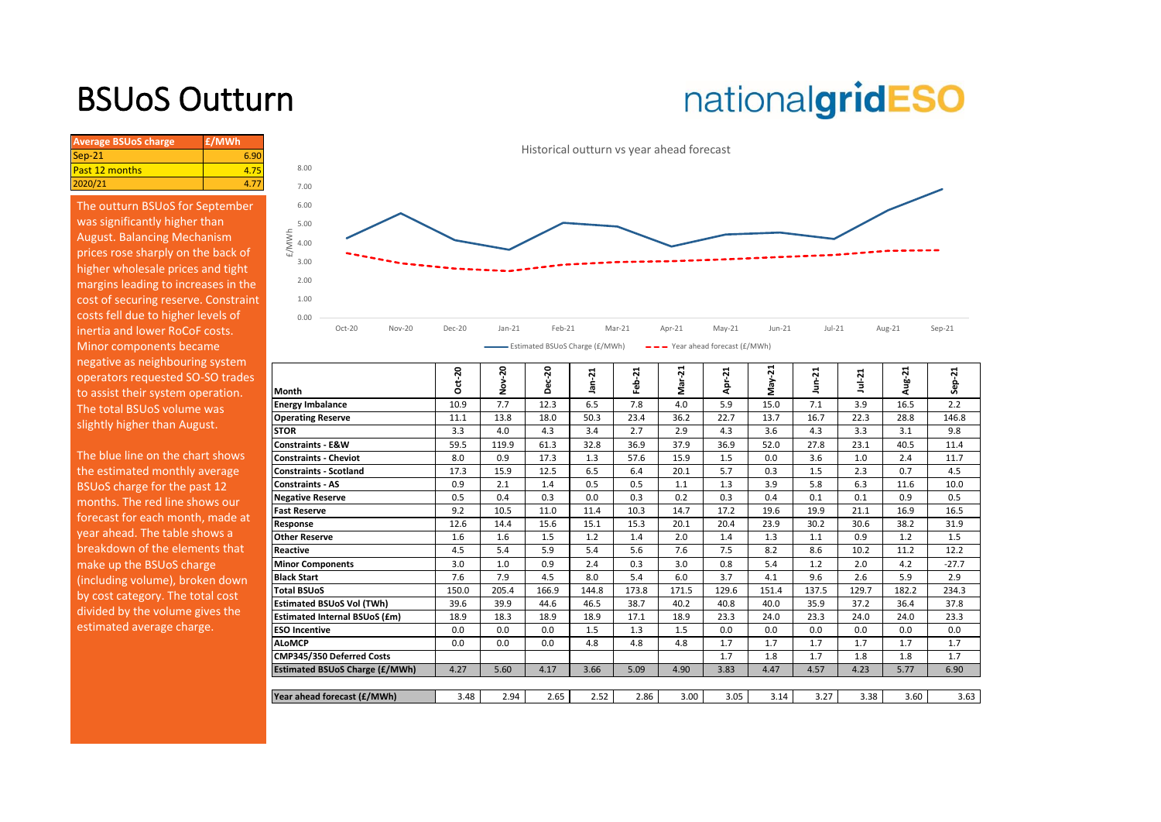## BSUoS Outturn

# nationalgridESO

| <b>Average BSUoS charge</b> | £/MWh |
|-----------------------------|-------|
| $Sep-21$                    | 6.90  |
| <b>Past 12 months</b>       |       |
| 2020/21                     |       |

The outturn BSUoS for September was significantly higher than August. Balancing Mechanism prices rose sharply on the back of higher wholesale prices and tight margins leading to increases in the cost of securing reserve. Constraint costs fell due to higher levels of inertia and lower RoCoF costs. Minor components became negative as neighbouring system operators requested SO-SO trades to assist their system operation. The total BSUoS volume was slightly higher than August.



| operators requested SO-SO trades<br>to assist their system operation. | <b>Month</b>                          | $ct-20$<br>Õ | ຊ<br>ō<br>z | ິລ<br>n | ⊣<br>$\sim$<br>त | 21<br>흢 | ಸ<br>Nar<br>M | Apr-21 | ងុ<br>γāγ<br>Σ | ដ     | Jul-21 | $ug-21$ | ដុ<br>န္တ |
|-----------------------------------------------------------------------|---------------------------------------|--------------|-------------|---------|------------------|---------|---------------|--------|----------------|-------|--------|---------|-----------|
| The total BSUoS volume was                                            | <b>Energy Imbalance</b>               | 10.9         | 7.7         | 12.3    | 6.5              | 7.8     | 4.0           | 5.9    | 15.0           | 7.1   | 3.9    | 16.5    | 2.2       |
| slightly higher than August.                                          | <b>Operating Reserve</b>              | 11.1         | 13.8        | 18.0    | 50.3             | 23.4    | 36.2          | 22.7   | 13.7           | 16.7  | 22.3   | 28.8    | 146.8     |
|                                                                       | <b>STOR</b>                           | 3.3          | 4.0         | 4.3     | 3.4              | 2.7     | 2.9           | 4.3    | 3.6            | 4.3   | 3.3    | 3.1     | 9.8       |
|                                                                       | Constraints - E&W                     | 59.5         | 119.9       | 61.3    | 32.8             | 36.9    | 37.9          | 36.9   | 52.0           | 27.8  | 23.1   | 40.5    | 11.4      |
| The blue line on the chart shows                                      | <b>Constraints - Cheviot</b>          | 8.0          | 0.9         | 17.3    | 1.3              | 57.6    | 15.9          | 1.5    | 0.0            | 3.6   | 1.0    | 2.4     | 11.7      |
| the estimated monthly average                                         | <b>Constraints - Scotland</b>         | 17.3         | 15.9        | 12.5    | 6.5              | 6.4     | 20.1          | 5.7    | 0.3            | 1.5   | 2.3    | 0.7     | 4.5       |
| BSUoS charge for the past 12                                          | <b>Constraints - AS</b>               | 0.9          | 2.1         | 1.4     | 0.5              | 0.5     | 1.1           | 1.3    | 3.9            | 5.8   | 6.3    | 11.6    | 10.0      |
| months. The red line shows our                                        | <b>Negative Reserve</b>               | 0.5          | 0.4         | 0.3     | 0.0              | 0.3     | 0.2           | 0.3    | 0.4            | 0.1   | 0.1    | 0.9     | 0.5       |
| forecast for each month, made at                                      | <b>Fast Reserve</b>                   | 9.2          | 10.5        | 11.0    | 11.4             | 10.3    | 14.7          | 17.2   | 19.6           | 19.9  | 21.1   | 16.9    | 16.5      |
|                                                                       | Response                              | 12.6         | 14.4        | 15.6    | 15.1             | 15.3    | 20.1          | 20.4   | 23.9           | 30.2  | 30.6   | 38.2    | 31.9      |
| year ahead. The table shows a                                         | <b>Other Reserve</b>                  | 1.6          | 1.6         | 1.5     | 1.2              | 1.4     | 2.0           | 1.4    | 1.3            | 1.1   | 0.9    | 1.2     | 1.5       |
| breakdown of the elements that                                        | Reactive                              | 4.5          | 5.4         | 5.9     | 5.4              | 5.6     | 7.6           | 7.5    | 8.2            | 8.6   | 10.2   | 11.2    | 12.2      |
| make up the BSUoS charge                                              | <b>Minor Components</b>               | 3.0          | 1.0         | 0.9     | 2.4              | 0.3     | 3.0           | 0.8    | 5.4            | 1.2   | 2.0    | 4.2     | $-27.7$   |
| (including volume), broken down                                       | <b>Black Start</b>                    | 7.6          | 7.9         | 4.5     | 8.0              | 5.4     | 6.0           | 3.7    | 4.1            | 9.6   | 2.6    | 5.9     | 2.9       |
| by cost category. The total cost                                      | <b>Total BSUoS</b>                    | 150.0        | 205.4       | 166.9   | 144.8            | 173.8   | 171.5         | 129.6  | 151.4          | 137.5 | 129.7  | 182.2   | 234.3     |
| divided by the volume gives the                                       | <b>Estimated BSUoS Vol (TWh)</b>      | 39.6         | 39.9        | 44.6    | 46.5             | 38.7    | 40.2          | 40.8   | 40.0           | 35.9  | 37.2   | 36.4    | 37.8      |
|                                                                       | <b>Estimated Internal BSUoS (£m)</b>  | 18.9         | 18.3        | 18.9    | 18.9             | 17.1    | 18.9          | 23.3   | 24.0           | 23.3  | 24.0   | 24.0    | 23.3      |
| estimated average charge.                                             | <b>ESO Incentive</b>                  | 0.0          | 0.0         | 0.0     | 1.5              | 1.3     | 1.5           | 0.0    | 0.0            | 0.0   | 0.0    | 0.0     | 0.0       |
|                                                                       | <b>ALoMCP</b>                         | 0.0          | 0.0         | 0.0     | 4.8              | 4.8     | 4.8           | 1.7    | 1.7            | 1.7   | 1.7    | 1.7     | 1.7       |
|                                                                       | CMP345/350 Deferred Costs             |              |             |         |                  |         |               | 1.7    | 1.8            | 1.7   | 1.8    | 1.8     | 1.7       |
|                                                                       | <b>Estimated BSUoS Charge (£/MWh)</b> | 4.27         | 5.60        | 4.17    | 3.66             | 5.09    | 4.90          | 3.83   | 4.47           | 4.57  | 4.23   | 5.77    | 6.90      |
|                                                                       |                                       |              |             |         |                  |         |               |        |                |       |        |         |           |
|                                                                       | Year ahead forecast (£/MWh)           | 3.48         | 2.94        | 2.65    | 2.52             | 2.86    | 3.00          | 3.05   | 3.14           | 3.27  | 3.38   | 3.60    | 3.63      |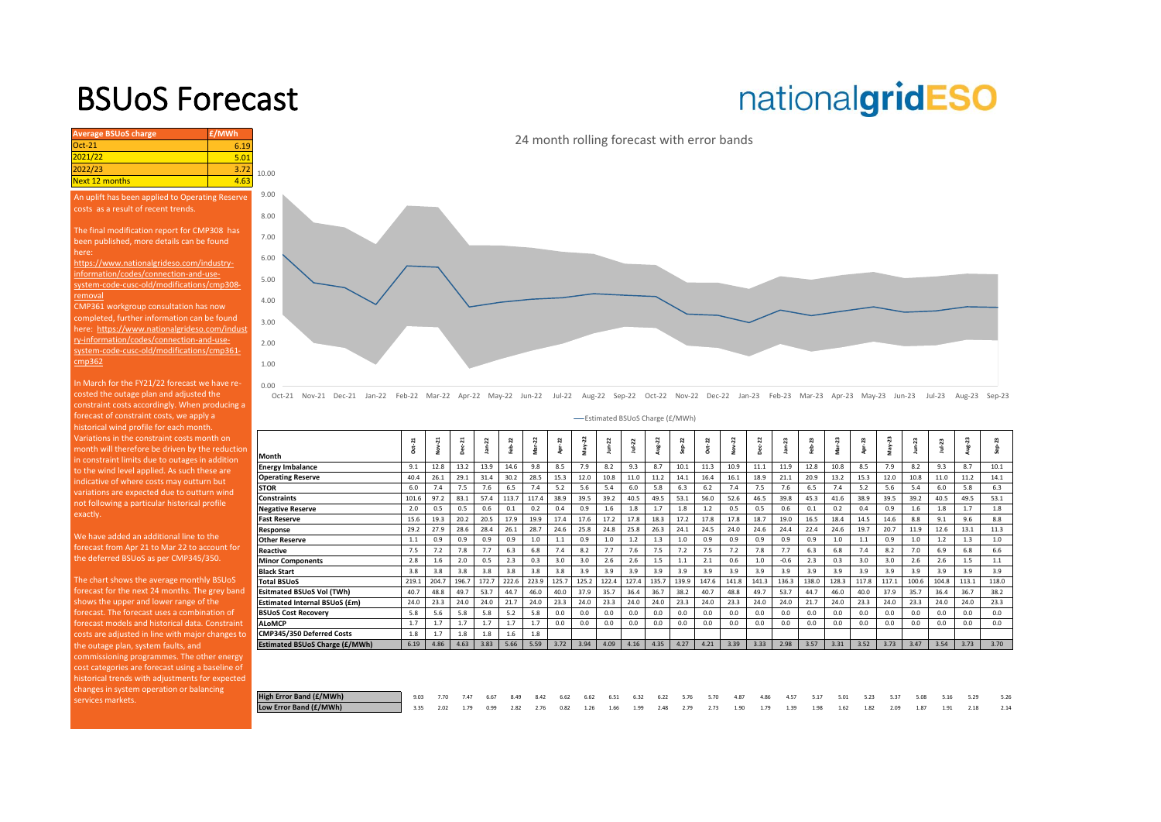### BSUoS Forecast

# nationalgridESO

| <b>Average BSUoS charge</b>                                                          | £/MWh |                |  |  |  |  |  |  |  |
|--------------------------------------------------------------------------------------|-------|----------------|--|--|--|--|--|--|--|
| $Oct-21$                                                                             | 6.19  |                |  |  |  |  |  |  |  |
| 2021/22                                                                              | 5.01  |                |  |  |  |  |  |  |  |
| 2022/23                                                                              | 3.72  | 10.00          |  |  |  |  |  |  |  |
| <b>Next 12 months</b>                                                                | 4.63  |                |  |  |  |  |  |  |  |
| An uplift has been applied to Operating Reserve                                      |       | 9.00           |  |  |  |  |  |  |  |
| costs as a result of recent trends.                                                  |       |                |  |  |  |  |  |  |  |
|                                                                                      |       | 8.00           |  |  |  |  |  |  |  |
| The final modification report for CMP308 has                                         |       |                |  |  |  |  |  |  |  |
| been published, more details can be found                                            |       | 7.00           |  |  |  |  |  |  |  |
| here:                                                                                |       | 6.00           |  |  |  |  |  |  |  |
| https://www.nationalgrideso.com/industry-                                            |       |                |  |  |  |  |  |  |  |
| information/codes/connection-and-use-                                                |       |                |  |  |  |  |  |  |  |
| system-code-cusc-old/modifications/cmp308-                                           |       |                |  |  |  |  |  |  |  |
| removal                                                                              |       | 4.00           |  |  |  |  |  |  |  |
| CMP361 workgroup consultation has now<br>completed, further information can be found |       |                |  |  |  |  |  |  |  |
| here: https://www.nationalgrideso.com/indust                                         |       | 3.00           |  |  |  |  |  |  |  |
| ry-information/codes/connection-and-use-                                             |       |                |  |  |  |  |  |  |  |
| system-code-cusc-old/modifications/cmp361-                                           |       | 2.00           |  |  |  |  |  |  |  |
| cmp362                                                                               |       | 1.00           |  |  |  |  |  |  |  |
|                                                                                      |       |                |  |  |  |  |  |  |  |
| In March for the FY21/22 forecast we have re-                                        |       | 0.00           |  |  |  |  |  |  |  |
| costed the outage plan and adjusted the                                              |       | $\overline{O}$ |  |  |  |  |  |  |  |
| constraint costs accordingly. When producing a                                       |       |                |  |  |  |  |  |  |  |
| forecast of constraint costs, we apply a                                             |       |                |  |  |  |  |  |  |  |
| historical wind profile for each month.                                              |       |                |  |  |  |  |  |  |  |
| Variations in the constraint costs month on                                          |       |                |  |  |  |  |  |  |  |
| month will therefore be driven by the reduction                                      |       | Mont           |  |  |  |  |  |  |  |
| in constraint limits due to outages in addition                                      |       |                |  |  |  |  |  |  |  |

in constraint limits due to outages in addition to the wind level applied. As such these are ndicative of where costs may outturn but variations are expected due to outturn wind not following a particular historical profile exactly.

We have added an additional line to the forecast from Apr 21 to Mar 22 to account for the deferred BSUoS as per CMP345/350.

The chart shows the average monthly BSUoS forecast for the next 24 months. The grey band shows the upper and lower range of the forecast. The forecast uses a combination of forecast models and historical data. Constraint costs are adjusted in line with major changes to the outage plan, system faults, and commissioning programmes. The other energy cost categories are forecast using a baseline of historical trends with adjustments for expected changes in system operation or balancing services markets.



Oct-21 Nov-21 Dec-21 Jan-22 Feb-22 Mar-22 Apr-22 May-22 Jun-22 Jul-22 Aug-22 Sep-22 Oct-22 Nov-22 Dec-22 Jan-23 Feb-23 Mar-23 Apr-23 May-23 Jun-23 Jul-23 Aug-23 Sep-23

Estimated BSUoS Charge (£/MWh)

|                                       | $Oct-21$ | Nov-21 | $Dec-21$ | $Jan-22$ | eb-22 | Mar-22 | Apr-22 | May-22 | n<br>š | $Ju+22$ | Aug-22 | $Sep-22$ | Oct-22 | Nov-22 | Dec-22 | $jan-23$ | eb-23 | Mar-23 | Apr-23 | May-23 | $J$ un- $23$ | Jul-23 | Aug-23 | 23<br>숊<br>ū |
|---------------------------------------|----------|--------|----------|----------|-------|--------|--------|--------|--------|---------|--------|----------|--------|--------|--------|----------|-------|--------|--------|--------|--------------|--------|--------|--------------|
| Month                                 |          |        |          |          |       |        |        |        |        |         |        |          |        |        |        |          |       |        |        |        |              |        |        |              |
| <b>Energy Imbalance</b>               | 9.1      | 12.8   | 13.2     | 13.9     | 14.6  | 9.8    | 8.5    | 7.9    | 8.2    | 9.3     | 8.7    | 10.1     | 11.3   | 10.9   | 11.1   | 11.9     | 12.8  | 10.8   | 8.5    | 7.9    | 8.2          | 9.3    | 8.7    | 10.1         |
| <b>Operating Reserve</b>              | 40.4     | 26.1   | 29.1     | 31.4     | 30.2  | 28.5   | 15.3   | 12.0   | 10.8   | 11.0    | 11.2   | 14.1     | 16.4   | 16.1   | 18.9   | 21.1     | 20.9  | 13.2   | 15.3   | 12.0   | 10.8         | 11.0   | 11.2   | 14.1         |
| <b>STOR</b>                           | 6.0      | 7.4    | 7.5      | 7.6      | 6.5   | 7.4    | 5.2    | 5.6    | 5.4    | 6.0     | 5.8    | 6.3      | 6.2    | 7.4    | 7.5    | 7.6      | 6.5   | 7.4    | 5.2    | 5.6    | 5.4          | 6.0    | 5.8    | 6.3          |
| Constraints                           | 101.6    | 97.2   | 83.1     | 57.4     | 113.7 | 117.4  | 38.9   | 39.5   | 39.2   | 40.5    | 49.5   | 53.1     | 56.0   | 52.6   | 46.5   | 39.8     | 45.3  | 41.6   | 38.9   | 39.5   | 39.2         | 40.5   | 49.5   | 53.1         |
| <b>Negative Reserve</b>               | 2.0      | 0.5    | 0.5      | 0.6      | 0.1   | 0.2    | 0.4    | 0.9    | 1.6    | 1.8     | 1.7    | 1.8      | 1.2    | 0.5    | 0.5    | 0.6      | 0.1   | 0.2    | 0.4    | 0.9    | 1.6          | 1.8    | 1.7    | 1.8          |
| <b>Fast Reserve</b>                   | 15.6     | 19.3   | 20.2     | 20.5     | 17.9  | 19.9   | 17.4   | 17.6   | 17.2   | 17.8    | 18.3   | 17.2     | 17.8   | 17.8   | 18.7   | 19.0     | 16.5  | 18.4   | 14.5   | 14.6   | 8.8          | 9.1    | 9.6    | 8.8          |
| Response                              | 29.2     | 27.9   | 28.6     | 28.4     | 26.1  | 28.7   | 24.6   | 25.8   | 24.8   | 25.8    | 26.3   | 24.1     | 24.5   | 24.0   | 24.6   | 24.4     | 22.4  | 24.6   | 19.7   | 20.7   | 11.9         | 12.6   | 13.1   | 11.3         |
| <b>Other Reserve</b>                  | 1.1      | 0.9    | 0.9      | 0.9      | 0.9   | 1.0    | 1.1    | 0.9    | 1.0    | $1.2$   | 1.3    | 1.0      | 0.9    | 0.9    | 0.9    | 0.9      | 0.9   | 1.0    | 1.1    | 0.9    | 1.0          | 1.2    | 1.3    | 1.0          |
| <b>Reactive</b>                       | 7.5      | 7.2    | 7.8      | 7.7      | 6.3   | 6.8    | 7.4    | 8.2    | 7.7    | 7.6     | 7.5    | 7.2      | 7.5    | 7.2    | 7.8    | 7.7      | 6.3   | 6.8    | 7.4    | 8.2    | 7.0          | 6.9    | 6.8    | 6.6          |
| <b>Minor Components</b>               | 2.8      | 1.6    | 2.0      | 0.5      | 2.3   | 0.3    | 3.0    | 3.0    | 2.6    | 2.6     | 1.5    | $1.1\,$  | 2.1    | 0.6    | 1.0    | $-0.6$   | 2.3   | 0.3    | 3.0    | 3.0    | 2.6          | 2.6    | 1.5    | $1.1\,$      |
| <b>Black Start</b>                    | 3.8      | 3.8    | 3.8      | 3.8      | 3.8   | 3.8    | 3.8    | 3.9    | 3.9    | 3.9     | 3.9    | 3.9      | 3.9    | 3.9    | 3.9    | 3.9      | 3.9   | 3.9    | 3.9    | 3.9    | 3.9          | 3.9    | 3.9    | 3.9          |
| <b>Total BSUoS</b>                    | 219.1    | 204.7  | 196.7    | 172.7    | 222.6 | 223.9  | 125.7  | 125.2  | 122.4  | 127.4   | 135.7  | 139.9    | 147.6  | 141.8  | 141.3  | 136.3    | 138.0 | 128.3  | 117.8  | 117.1  | 100.6        | 104.8  | 113.1  | 118.0        |
| Esitmated BSUoS Vol (TWh)             | 40.7     | 48.8   | 49.7     | 53.7     | 44.7  | 46.0   | 40.0   | 37.9   | 35.7   | 36.4    | 36.7   | 38.2     | 40.7   | 48.8   | 49.7   | 53.7     | 44.7  | 46.0   | 40.0   | 37.9   | 35.7         | 36.4   | 36.7   | 38.2         |
| Estimated Internal BSUoS (£m)         | 24.0     | 23.3   | 24.0     | 24.0     | 21.7  | 24.0   | 23.3   | 24.0   | 23.3   | 24.0    | 24.0   | 23.3     | 24.0   | 23.3   | 24.0   | 24.0     | 21.7  | 24.0   | 23.3   | 24.0   | 23.3         | 24.0   | 24.0   | 23.3         |
| <b>BSUoS Cost Recoverv</b>            | 5.8      | 5.6    | 5.8      | 5.8      | 5.2   | 5.8    | 0.0    | 0.0    | 0.0    | 0.0     | 0.0    | 0.0      | 0.0    | 0.0    | 0.0    | 0.0      | 0.0   | 0.0    | 0.0    | 0.0    | 0.0          | 0.0    | 0.0    | 0.0          |
| <b>ALoMCP</b>                         | 1.7      | 1.7    | 1.7      | 1.7      | 1.7   | 1.7    | 0.0    | 0.0    | 0.0    | 0.0     | 0.0    | 0.0      | 0.0    | 0.0    | 0.0    | 0.0      | 0.0   | 0.0    | 0.0    | 0.0    | 0.0          | 0.0    | 0.0    | 0.0          |
| CMP345/350 Deferred Costs             | 1.8      | 1.7    | 1.8      | 1.8      | 1.6   | 1.8    |        |        |        |         |        |          |        |        |        |          |       |        |        |        |              |        |        |              |
| <b>Estimated BSUoS Charge (£/MWh)</b> | 6.19     | 4.86   | 4.63     | 3.83     | 5.66  | 5.59   | 3.72   | 3.94   | 4.09   | 4.16    | 4.35   | 4.27     | 4.21   | 3.39   | 3.33   | 2.98     | 3.57  | 3.31   | 3.52   | 3.73   | 3.47         | 3.54   | 3.73   | 3.70         |
|                                       |          |        |          |          |       |        |        |        |        |         |        |          |        |        |        |          |       |        |        |        |              |        |        |              |

| High Error Band (£/MWh) |  |  |  |  |  |  |  |  |  |  |  | 9.03 7.70 7.47 6.67 8.49 8.42 6.62 6.62 6.51 6.32 6.22 5.76 5.70 4.87 4.86 4.57 5.17 5.01 5.23 5.37 5.08 5.16 5.29 5.26 |  |
|-------------------------|--|--|--|--|--|--|--|--|--|--|--|-------------------------------------------------------------------------------------------------------------------------|--|
| Low Error Band (£/MWh)  |  |  |  |  |  |  |  |  |  |  |  | 3.35 2.02 1.79 0.99 2.82 2.76 0.82 1.26 1.66 1.99 2.48 2.79 2.73 1.90 1.79 1.39 1.98 1.62 1.82 2.09 1.87 1.91 2.18 2.14 |  |